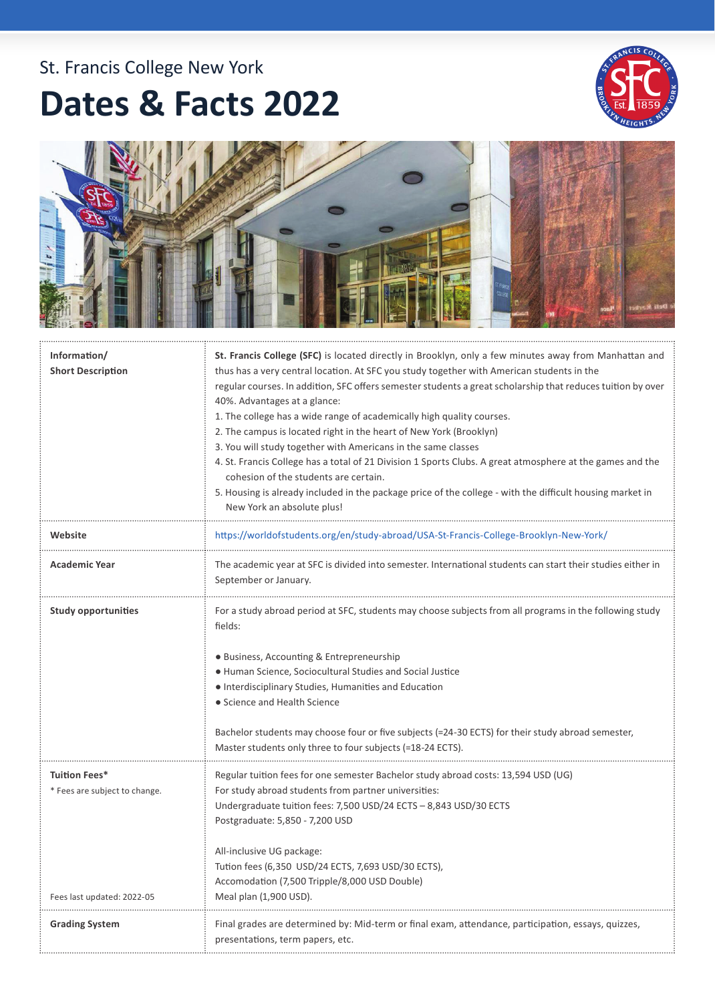## St. Francis College New York

## **Dates & Facts 2022**





| Information/<br><b>Short Description</b>                                     | St. Francis College (SFC) is located directly in Brooklyn, only a few minutes away from Manhattan and<br>thus has a very central location. At SFC you study together with American students in the<br>regular courses. In addition, SFC offers semester students a great scholarship that reduces tuition by over<br>40%. Advantages at a glance:<br>1. The college has a wide range of academically high quality courses.<br>2. The campus is located right in the heart of New York (Brooklyn)<br>3. You will study together with Americans in the same classes<br>4. St. Francis College has a total of 21 Division 1 Sports Clubs. A great atmosphere at the games and the<br>cohesion of the students are certain.<br>5. Housing is already included in the package price of the college - with the difficult housing market in<br>New York an absolute plus! |
|------------------------------------------------------------------------------|--------------------------------------------------------------------------------------------------------------------------------------------------------------------------------------------------------------------------------------------------------------------------------------------------------------------------------------------------------------------------------------------------------------------------------------------------------------------------------------------------------------------------------------------------------------------------------------------------------------------------------------------------------------------------------------------------------------------------------------------------------------------------------------------------------------------------------------------------------------------|
| Website                                                                      | https://worldofstudents.org/en/study-abroad/USA-St-Francis-College-Brooklyn-New-York/                                                                                                                                                                                                                                                                                                                                                                                                                                                                                                                                                                                                                                                                                                                                                                              |
| <b>Academic Year</b>                                                         | The academic year at SFC is divided into semester. International students can start their studies either in<br>September or January.                                                                                                                                                                                                                                                                                                                                                                                                                                                                                                                                                                                                                                                                                                                               |
| <b>Study opportunities</b>                                                   | For a study abroad period at SFC, students may choose subjects from all programs in the following study<br>fields:<br>· Business, Accounting & Entrepreneurship<br>· Human Science, Sociocultural Studies and Social Justice<br>• Interdisciplinary Studies, Humanities and Education<br>• Science and Health Science<br>Bachelor students may choose four or five subjects (=24-30 ECTS) for their study abroad semester,<br>Master students only three to four subjects (=18-24 ECTS).                                                                                                                                                                                                                                                                                                                                                                           |
| Tuition Fees*<br>* Fees are subject to change.<br>Fees last updated: 2022-05 | Regular tuition fees for one semester Bachelor study abroad costs: 13,594 USD (UG)<br>For study abroad students from partner universities:<br>Undergraduate tuition fees: 7,500 USD/24 ECTS - 8,843 USD/30 ECTS<br>Postgraduate: 5,850 - 7,200 USD<br>All-inclusive UG package:<br>Tution fees (6,350  USD/24 ECTS, 7,693 USD/30 ECTS),<br>Accomodation (7,500 Tripple/8,000 USD Double)<br>Meal plan (1,900 USD).                                                                                                                                                                                                                                                                                                                                                                                                                                                 |
| <b>Grading System</b>                                                        | Final grades are determined by: Mid-term or final exam, attendance, participation, essays, quizzes,<br>presentations, term papers, etc.                                                                                                                                                                                                                                                                                                                                                                                                                                                                                                                                                                                                                                                                                                                            |